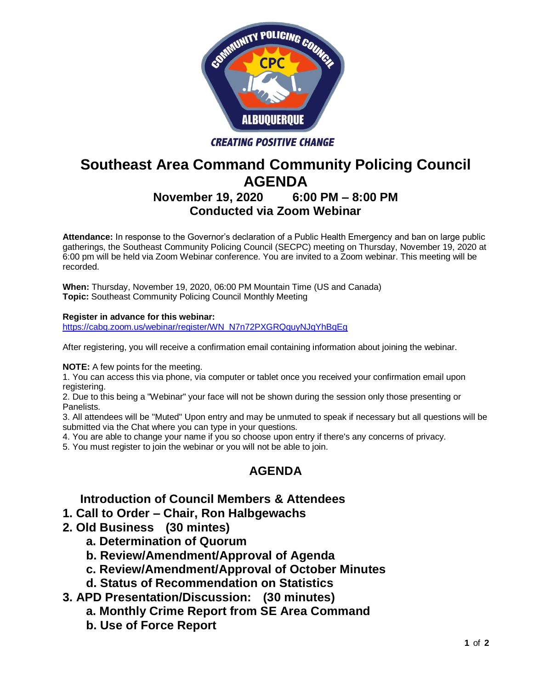

# **Southeast Area Command Community Policing Council AGENDA**

## **November 19, 2020 6:00 PM – 8:00 PM Conducted via Zoom Webinar**

**Attendance:** In response to the Governor's declaration of a Public Health Emergency and ban on large public gatherings, the Southeast Community Policing Council (SECPC) meeting on Thursday, November 19, 2020 at 6:00 pm will be held via Zoom Webinar conference. You are invited to a Zoom webinar. This meeting will be recorded.

**When:** Thursday, November 19, 2020, 06:00 PM Mountain Time (US and Canada) **Topic:** Southeast Community Policing Council Monthly Meeting

#### **Register in advance for this webinar:**

[https://cabq.zoom.us/webinar/register/WN\\_N7n72PXGRQquyNJqYhBqEg](https://cabq.zoom.us/webinar/register/WN_N7n72PXGRQquyNJqYhBqEg)

After registering, you will receive a confirmation email containing information about joining the webinar.

**NOTE:** A few points for the meeting.

1. You can access this via phone, via computer or tablet once you received your confirmation email upon registering.

2. Due to this being a "Webinar" your face will not be shown during the session only those presenting or Panelists.

3. All attendees will be "Muted" Upon entry and may be unmuted to speak if necessary but all questions will be submitted via the Chat where you can type in your questions.

4. You are able to change your name if you so choose upon entry if there's any concerns of privacy.

5. You must register to join the webinar or you will not be able to join.

### **AGENDA**

### **Introduction of Council Members & Attendees**

- **1. Call to Order – Chair, Ron Halbgewachs**
- **2. Old Business (30 mintes)**
	- **a. Determination of Quorum**
	- **b. Review/Amendment/Approval of Agenda**
	- **c. Review/Amendment/Approval of October Minutes**
	- **d. Status of Recommendation on Statistics**
- **3. APD Presentation/Discussion: (30 minutes)** 
	- **a. Monthly Crime Report from SE Area Command**
	- **b. Use of Force Report**